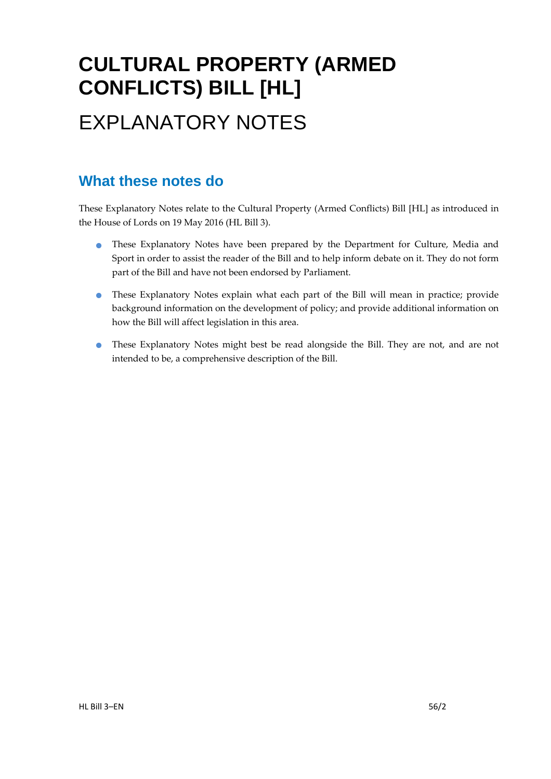# **CULTURAL PROPERTY (ARMED CONFLICTS) BILL [HL]**  EXPLANATORY NOTES

### **What these notes do**

- These Explanatory Notes have been prepared by the Department for Culture, Media and Sport in order to assist the reader of the Bill and to help inform debate on it. They do not form part of the Bill and have not been endorsed by Parliament.
- These Explanatory Notes explain what each part of the Bill will mean in practice; provide background information on the development of policy; and provide additional information on how the Bill will affect legislation in this area.
- These Explanatory Notes might best be read alongside the Bill. They are not, and are not intended to be, a comprehensive description of the Bill.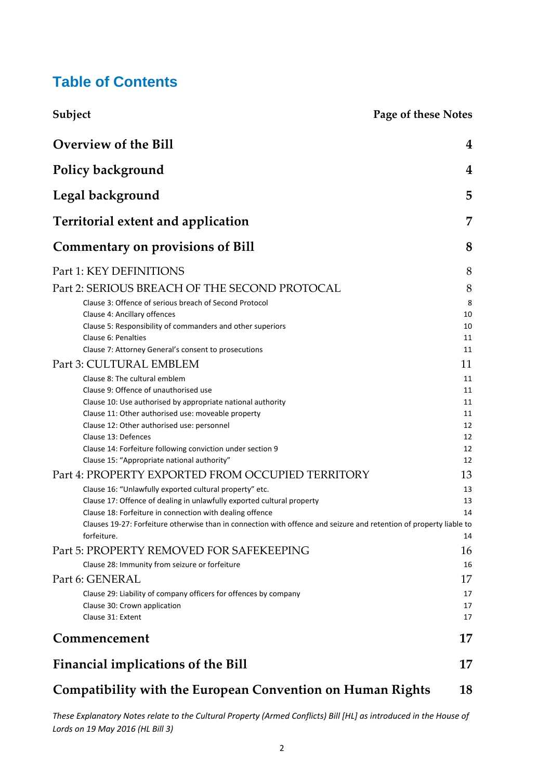### **Table of Contents**

| Subject                                                                                                             | <b>Page of these Notes</b> |
|---------------------------------------------------------------------------------------------------------------------|----------------------------|
| <b>Overview of the Bill</b>                                                                                         | 4                          |
| Policy background                                                                                                   | 4                          |
| Legal background                                                                                                    | 5                          |
| <b>Territorial extent and application</b>                                                                           | 7                          |
| <b>Commentary on provisions of Bill</b>                                                                             | 8                          |
| Part 1: KEY DEFINITIONS                                                                                             | 8                          |
| Part 2: SERIOUS BREACH OF THE SECOND PROTOCAL                                                                       | 8                          |
| Clause 3: Offence of serious breach of Second Protocol                                                              | 8                          |
| Clause 4: Ancillary offences                                                                                        | 10                         |
| Clause 5: Responsibility of commanders and other superiors                                                          | 10                         |
| Clause 6: Penalties                                                                                                 | 11                         |
| Clause 7: Attorney General's consent to prosecutions                                                                | 11                         |
| Part 3: CULTURAL EMBLEM                                                                                             | 11                         |
| Clause 8: The cultural emblem                                                                                       | 11                         |
| Clause 9: Offence of unauthorised use                                                                               | 11                         |
| Clause 10: Use authorised by appropriate national authority<br>Clause 11: Other authorised use: moveable property   | 11<br>11                   |
| Clause 12: Other authorised use: personnel                                                                          | 12                         |
| Clause 13: Defences                                                                                                 | 12                         |
| Clause 14: Forfeiture following conviction under section 9                                                          | 12                         |
| Clause 15: "Appropriate national authority"                                                                         | 12                         |
| Part 4: PROPERTY EXPORTED FROM OCCUPIED TERRITORY                                                                   | 13                         |
| Clause 16: "Unlawfully exported cultural property" etc.                                                             | 13                         |
| Clause 17: Offence of dealing in unlawfully exported cultural property                                              | 13                         |
| Clause 18: Forfeiture in connection with dealing offence                                                            | 14                         |
| Clauses 19-27: Forfeiture otherwise than in connection with offence and seizure and retention of property liable to |                            |
| forfeiture.                                                                                                         | 14                         |
| Part 5: PROPERTY REMOVED FOR SAFEKEEPING                                                                            | 16                         |
| Clause 28: Immunity from seizure or forfeiture                                                                      | 16                         |
| Part 6: GENERAL                                                                                                     | 17                         |
| Clause 29: Liability of company officers for offences by company                                                    | 17                         |
| Clause 30: Crown application                                                                                        | 17                         |
| Clause 31: Extent                                                                                                   | 17                         |
| Commencement                                                                                                        | 17                         |
| <b>Financial implications of the Bill</b>                                                                           | 17                         |
| <b>Compatibility with the European Convention on Human Rights</b>                                                   | 18                         |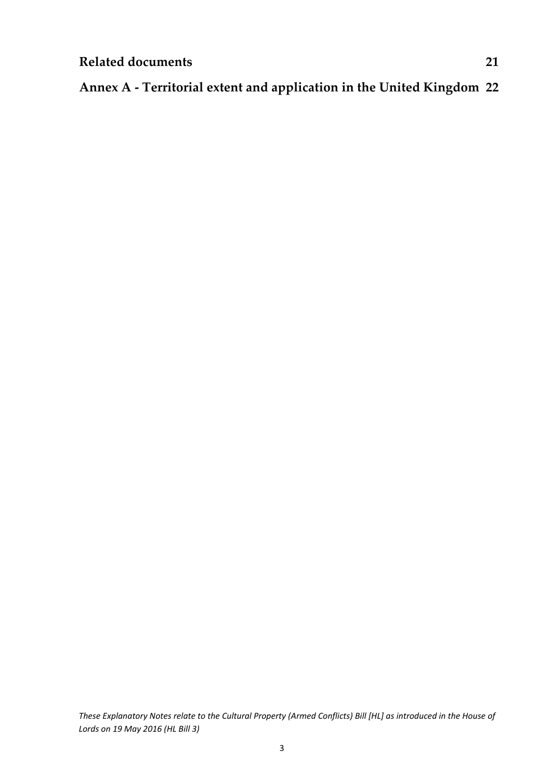### **Annex A ‐ Territorial extent and application in the United Kingdom 22**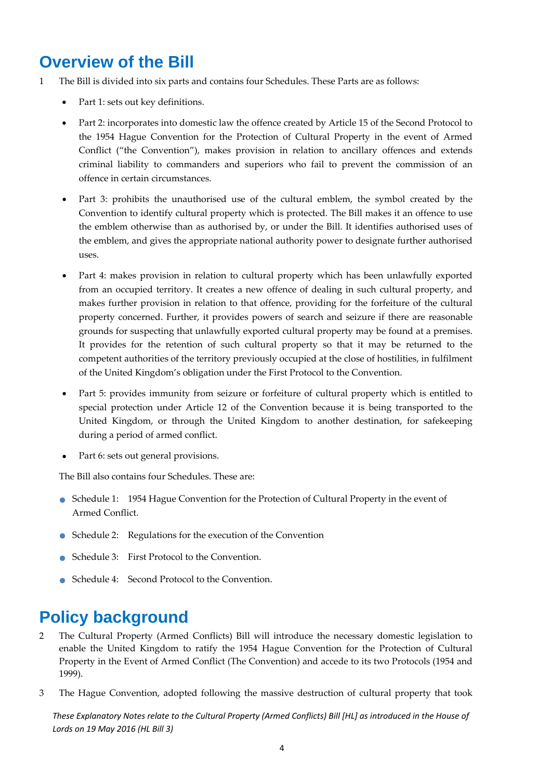### **Overview of the Bill**

- 1 The Bill is divided into six parts and contains four Schedules. These Parts are as follows:
	- Part 1: sets out key definitions.
	- Part 2: incorporates into domestic law the offence created by Article 15 of the Second Protocol to the 1954 Hague Convention for the Protection of Cultural Property in the event of Armed Conflict ("the Convention"), makes provision in relation to ancillary offences and extends criminal liability to commanders and superiors who fail to prevent the commission of an offence in certain circumstances.
	- Part 3: prohibits the unauthorised use of the cultural emblem, the symbol created by the Convention to identify cultural property which is protected. The Bill makes it an offence to use the emblem otherwise than as authorised by, or under the Bill. It identifies authorised uses of the emblem, and gives the appropriate national authority power to designate further authorised uses.
	- Part 4: makes provision in relation to cultural property which has been unlawfully exported from an occupied territory. It creates a new offence of dealing in such cultural property, and makes further provision in relation to that offence, providing for the forfeiture of the cultural property concerned. Further, it provides powers of search and seizure if there are reasonable grounds for suspecting that unlawfully exported cultural property may be found at a premises. It provides for the retention of such cultural property so that it may be returned to the competent authorities of the territory previously occupied at the close of hostilities, in fulfilment of the United Kingdom's obligation under the First Protocol to the Convention.
	- Part 5: provides immunity from seizure or forfeiture of cultural property which is entitled to special protection under Article 12 of the Convention because it is being transported to the United Kingdom, or through the United Kingdom to another destination, for safekeeping during a period of armed conflict.
	- Part 6: sets out general provisions.

The Bill also contains four Schedules. These are:

- Schedule 1: <sup>1954</sup> Hague Convention for the Protection of Cultural Property in the event of Armed Conflict.
- Schedule 2: Regulations for the execution of the Convention
- Schedule 3: First Protocol to the Convention.
- Schedule 4: Second Protocol to the Convention.

### **Policy background**

- 2 The Cultural Property (Armed Conflicts) Bill will introduce the necessary domestic legislation to enable the United Kingdom to ratify the 1954 Hague Convention for the Protection of Cultural Property in the Event of Armed Conflict (The Convention) and accede to its two Protocols (1954 and 1999).
- 3 The Hague Convention, adopted following the massive destruction of cultural property that took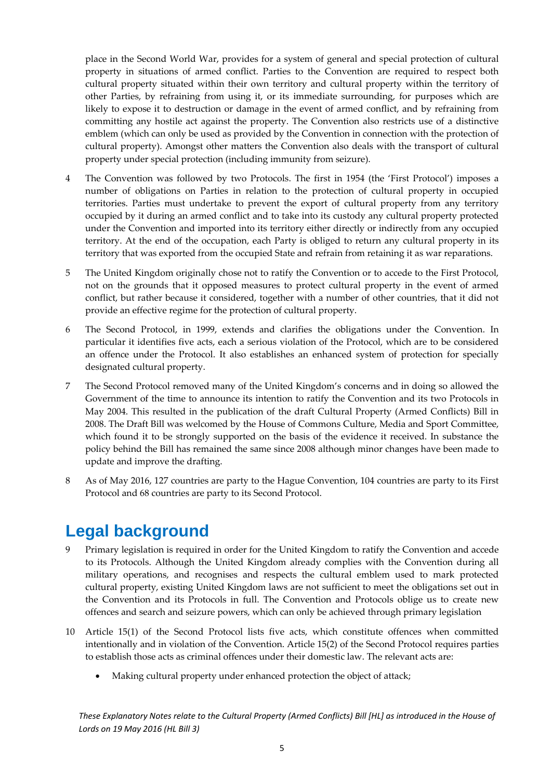place in the Second World War, provides for a system of general and special protection of cultural property in situations of armed conflict. Parties to the Convention are required to respect both cultural property situated within their own territory and cultural property within the territory of other Parties, by refraining from using it, or its immediate surrounding, for purposes which are likely to expose it to destruction or damage in the event of armed conflict, and by refraining from committing any hostile act against the property. The Convention also restricts use of a distinctive emblem (which can only be used as provided by the Convention in connection with the protection of cultural property). Amongst other matters the Convention also deals with the transport of cultural property under special protection (including immunity from seizure).

- 4 The Convention was followed by two Protocols. The first in 1954 (the 'First Protocol') imposes a number of obligations on Parties in relation to the protection of cultural property in occupied territories. Parties must undertake to prevent the export of cultural property from any territory occupied by it during an armed conflict and to take into its custody any cultural property protected under the Convention and imported into its territory either directly or indirectly from any occupied territory. At the end of the occupation, each Party is obliged to return any cultural property in its territory that was exported from the occupied State and refrain from retaining it as war reparations.
- 5 The United Kingdom originally chose not to ratify the Convention or to accede to the First Protocol, not on the grounds that it opposed measures to protect cultural property in the event of armed conflict, but rather because it considered, together with a number of other countries, that it did not provide an effective regime for the protection of cultural property.
- 6 The Second Protocol, in 1999, extends and clarifies the obligations under the Convention. In particular it identifies five acts, each a serious violation of the Protocol, which are to be considered an offence under the Protocol. It also establishes an enhanced system of protection for specially designated cultural property.
- 7 The Second Protocol removed many of the United Kingdom's concerns and in doing so allowed the Government of the time to announce its intention to ratify the Convention and its two Protocols in May 2004. This resulted in the publication of the draft Cultural Property (Armed Conflicts) Bill in 2008. The Draft Bill was welcomed by the House of Commons Culture, Media and Sport Committee, which found it to be strongly supported on the basis of the evidence it received. In substance the policy behind the Bill has remained the same since 2008 although minor changes have been made to update and improve the drafting.
- 8 As of May 2016, 127 countries are party to the Hague Convention, 104 countries are party to its First Protocol and 68 countries are party to its Second Protocol.

### **Legal background**

- 9 Primary legislation is required in order for the United Kingdom to ratify the Convention and accede to its Protocols. Although the United Kingdom already complies with the Convention during all military operations, and recognises and respects the cultural emblem used to mark protected cultural property, existing United Kingdom laws are not sufficient to meet the obligations set out in the Convention and its Protocols in full. The Convention and Protocols oblige us to create new offences and search and seizure powers, which can only be achieved through primary legislation
- 10 Article 15(1) of the Second Protocol lists five acts, which constitute offences when committed intentionally and in violation of the Convention. Article 15(2) of the Second Protocol requires parties to establish those acts as criminal offences under their domestic law. The relevant acts are:
	- Making cultural property under enhanced protection the object of attack;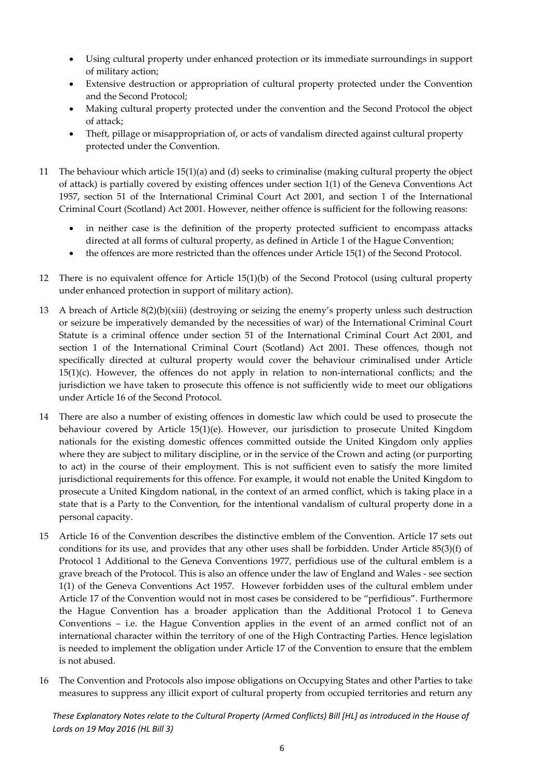- Using cultural property under enhanced protection or its immediate surroundings in support of military action;
- Extensive destruction or appropriation of cultural property protected under the Convention and the Second Protocol;
- Making cultural property protected under the convention and the Second Protocol the object of attack;
- Theft, pillage or misappropriation of, or acts of vandalism directed against cultural property protected under the Convention.
- 11 The behaviour which article 15(1)(a) and (d) seeks to criminalise (making cultural property the object of attack) is partially covered by existing offences under section 1(1) of the Geneva Conventions Act 1957, section 51 of the International Criminal Court Act 2001, and section 1 of the International Criminal Court (Scotland) Act 2001. However, neither offence is sufficient for the following reasons:
	- in neither case is the definition of the property protected sufficient to encompass attacks directed at all forms of cultural property, as defined in Article 1 of the Hague Convention;
	- the offences are more restricted than the offences under Article 15(1) of the Second Protocol.
- 12 There is no equivalent offence for Article 15(1)(b) of the Second Protocol (using cultural property under enhanced protection in support of military action).
- 13 A breach of Article 8(2)(b)(xiii) (destroying or seizing the enemy's property unless such destruction or seizure be imperatively demanded by the necessities of war) of the International Criminal Court Statute is a criminal offence under section 51 of the International Criminal Court Act 2001, and section 1 of the International Criminal Court (Scotland) Act 2001. These offences, though not specifically directed at cultural property would cover the behaviour criminalised under Article  $15(1)(c)$ . However, the offences do not apply in relation to non-international conflicts; and the jurisdiction we have taken to prosecute this offence is not sufficiently wide to meet our obligations under Article 16 of the Second Protocol.
- 14 There are also a number of existing offences in domestic law which could be used to prosecute the behaviour covered by Article 15(1)(e). However, our jurisdiction to prosecute United Kingdom nationals for the existing domestic offences committed outside the United Kingdom only applies where they are subject to military discipline, or in the service of the Crown and acting (or purporting to act) in the course of their employment. This is not sufficient even to satisfy the more limited jurisdictional requirements for this offence. For example, it would not enable the United Kingdom to prosecute a United Kingdom national, in the context of an armed conflict, which is taking place in a state that is a Party to the Convention, for the intentional vandalism of cultural property done in a personal capacity.
- 15 Article 16 of the Convention describes the distinctive emblem of the Convention. Article 17 sets out conditions for its use, and provides that any other uses shall be forbidden. Under Article 85(3)(f) of Protocol 1 Additional to the Geneva Conventions 1977, perfidious use of the cultural emblem is a grave breach of the Protocol. This is also an offence under the law of England and Wales ‐ see section 1(1) of the Geneva Conventions Act 1957. However forbidden uses of the cultural emblem under Article 17 of the Convention would not in most cases be considered to be "perfidious". Furthermore the Hague Convention has a broader application than the Additional Protocol 1 to Geneva Conventions – i.e. the Hague Convention applies in the event of an armed conflict not of an international character within the territory of one of the High Contracting Parties. Hence legislation is needed to implement the obligation under Article 17 of the Convention to ensure that the emblem is not abused.
- 16 The Convention and Protocols also impose obligations on Occupying States and other Parties to take measures to suppress any illicit export of cultural property from occupied territories and return any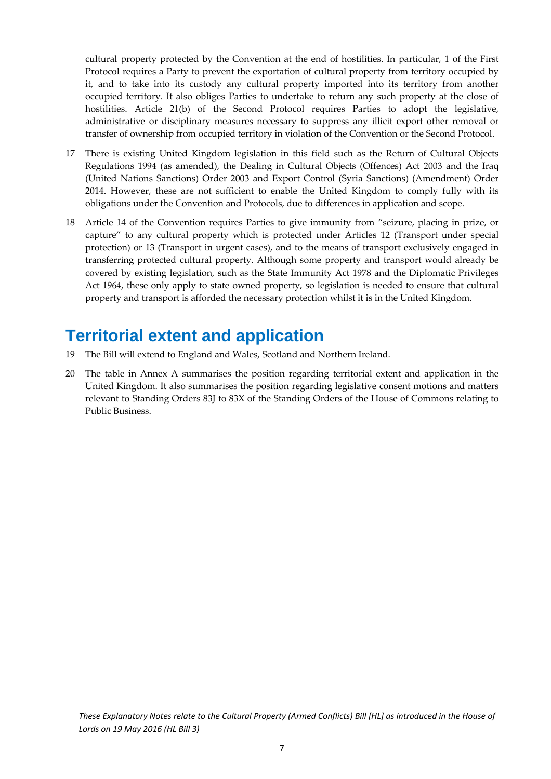cultural property protected by the Convention at the end of hostilities. In particular, 1 of the First Protocol requires a Party to prevent the exportation of cultural property from territory occupied by it, and to take into its custody any cultural property imported into its territory from another occupied territory. It also obliges Parties to undertake to return any such property at the close of hostilities. Article 21(b) of the Second Protocol requires Parties to adopt the legislative, administrative or disciplinary measures necessary to suppress any illicit export other removal or transfer of ownership from occupied territory in violation of the Convention or the Second Protocol.

- 17 There is existing United Kingdom legislation in this field such as the Return of Cultural Objects Regulations 1994 (as amended), the Dealing in Cultural Objects (Offences) Act 2003 and the Iraq (United Nations Sanctions) Order 2003 and Export Control (Syria Sanctions) (Amendment) Order 2014. However, these are not sufficient to enable the United Kingdom to comply fully with its obligations under the Convention and Protocols, due to differences in application and scope.
- 18 Article 14 of the Convention requires Parties to give immunity from "seizure, placing in prize, or capture" to any cultural property which is protected under Articles 12 (Transport under special protection) or 13 (Transport in urgent cases), and to the means of transport exclusively engaged in transferring protected cultural property. Although some property and transport would already be covered by existing legislation, such as the State Immunity Act 1978 and the Diplomatic Privileges Act 1964, these only apply to state owned property, so legislation is needed to ensure that cultural property and transport is afforded the necessary protection whilst it is in the United Kingdom.

### **Territorial extent and application**

- 19 The Bill will extend to England and Wales, Scotland and Northern Ireland.
- 20 The table in Annex A summarises the position regarding territorial extent and application in the United Kingdom. It also summarises the position regarding legislative consent motions and matters relevant to Standing Orders 83J to 83X of the Standing Orders of the House of Commons relating to Public Business.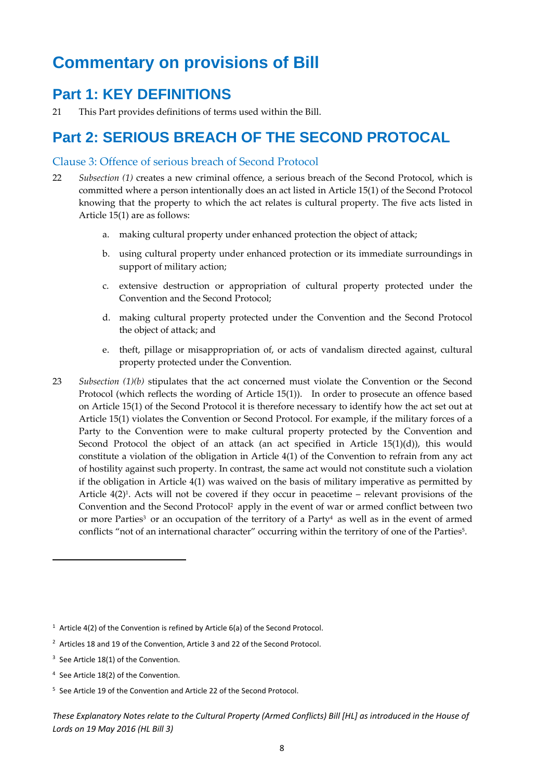### **Commentary on provisions of Bill**

### **Part 1: KEY DEFINITIONS**

21 This Part provides definitions of terms used within the Bill.

### **Part 2: SERIOUS BREACH OF THE SECOND PROTOCAL**

#### Clause 3: Offence of serious breach of Second Protocol

- 22 *Subsection (1)* creates a new criminal offence, a serious breach of the Second Protocol, which is committed where a person intentionally does an act listed in Article 15(1) of the Second Protocol knowing that the property to which the act relates is cultural property. The five acts listed in Article 15(1) are as follows:
	- a. making cultural property under enhanced protection the object of attack;
	- b. using cultural property under enhanced protection or its immediate surroundings in support of military action;
	- c. extensive destruction or appropriation of cultural property protected under the Convention and the Second Protocol;
	- d. making cultural property protected under the Convention and the Second Protocol the object of attack; and
	- e. theft, pillage or misappropriation of, or acts of vandalism directed against, cultural property protected under the Convention.
- 23 *Subsection (1)(b)* stipulates that the act concerned must violate the Convention or the Second Protocol (which reflects the wording of Article 15(1)). In order to prosecute an offence based on Article 15(1) of the Second Protocol it is therefore necessary to identify how the act set out at Article 15(1) violates the Convention or Second Protocol. For example, if the military forces of a Party to the Convention were to make cultural property protected by the Convention and Second Protocol the object of an attack (an act specified in Article 15(1)(d)), this would constitute a violation of the obligation in Article 4(1) of the Convention to refrain from any act of hostility against such property. In contrast, the same act would not constitute such a violation if the obligation in Article 4(1) was waived on the basis of military imperative as permitted by Article  $4(2)^1$ . Acts will not be covered if they occur in peacetime – relevant provisions of the Convention and the Second Protocol2 apply in the event of war or armed conflict between two or more Parties<sup>3</sup> or an occupation of the territory of a Party<sup>4</sup> as well as in the event of armed conflicts "not of an international character" occurring within the territory of one of the Parties<sup>5</sup>.

<sup>&</sup>lt;sup>1</sup> Article 4(2) of the Convention is refined by Article  $6(a)$  of the Second Protocol.

<sup>&</sup>lt;sup>2</sup> Articles 18 and 19 of the Convention, Article 3 and 22 of the Second Protocol.

<sup>&</sup>lt;sup>3</sup> See Article 18(1) of the Convention.

<sup>4</sup> See Article 18(2) of the Convention.

<sup>5</sup> See Article 19 of the Convention and Article 22 of the Second Protocol.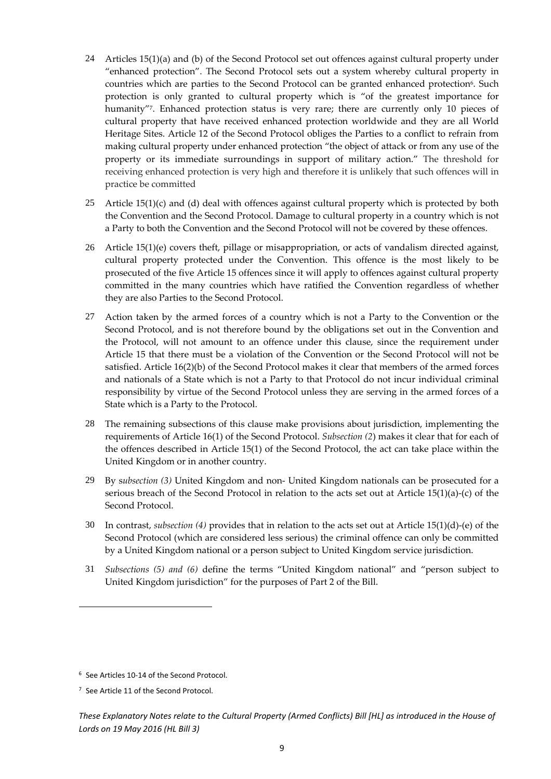- 24 Articles 15(1)(a) and (b) of the Second Protocol set out offences against cultural property under "enhanced protection". The Second Protocol sets out a system whereby cultural property in countries which are parties to the Second Protocol can be granted enhanced protection<sup>6</sup>. Such protection is only granted to cultural property which is "of the greatest importance for humanity"7. Enhanced protection status is very rare; there are currently only 10 pieces of cultural property that have received enhanced protection worldwide and they are all World Heritage Sites. Article 12 of the Second Protocol obliges the Parties to a conflict to refrain from making cultural property under enhanced protection "the object of attack or from any use of the property or its immediate surroundings in support of military action." The threshold for receiving enhanced protection is very high and therefore it is unlikely that such offences will in practice be committed
- 25 Article 15(1)(c) and (d) deal with offences against cultural property which is protected by both the Convention and the Second Protocol. Damage to cultural property in a country which is not a Party to both the Convention and the Second Protocol will not be covered by these offences.
- 26 Article 15(1)(e) covers theft, pillage or misappropriation, or acts of vandalism directed against, cultural property protected under the Convention. This offence is the most likely to be prosecuted of the five Article 15 offences since it will apply to offences against cultural property committed in the many countries which have ratified the Convention regardless of whether they are also Parties to the Second Protocol.
- 27 Action taken by the armed forces of a country which is not a Party to the Convention or the Second Protocol, and is not therefore bound by the obligations set out in the Convention and the Protocol, will not amount to an offence under this clause, since the requirement under Article 15 that there must be a violation of the Convention or the Second Protocol will not be satisfied. Article 16(2)(b) of the Second Protocol makes it clear that members of the armed forces and nationals of a State which is not a Party to that Protocol do not incur individual criminal responsibility by virtue of the Second Protocol unless they are serving in the armed forces of a State which is a Party to the Protocol.
- 28 The remaining subsections of this clause make provisions about jurisdiction, implementing the requirements of Article 16(1) of the Second Protocol. *Subsection (2*) makes it clear that for each of the offences described in Article 15(1) of the Second Protocol, the act can take place within the United Kingdom or in another country.
- 29 By s*ubsection (3)* United Kingdom and non‐ United Kingdom nationals can be prosecuted for a serious breach of the Second Protocol in relation to the acts set out at Article 15(1)(a)‐(c) of the Second Protocol.
- 30 In contrast, *subsection (4)* provides that in relation to the acts set out at Article 15(1)(d)‐(e) of the Second Protocol (which are considered less serious) the criminal offence can only be committed by a United Kingdom national or a person subject to United Kingdom service jurisdiction.
- 31 *Subsections (5) and (6)* define the terms "United Kingdom national" and "person subject to United Kingdom jurisdiction" for the purposes of Part 2 of the Bill.

<sup>&</sup>lt;sup>6</sup> See Articles 10-14 of the Second Protocol.

<sup>7</sup> See Article 11 of the Second Protocol.

These Explanatory Notes relate to the Cultural Property (Armed Conflicts) Bill [HL] as introduced in the House of *Lords on 19 May 2016 (HL Bill 3)*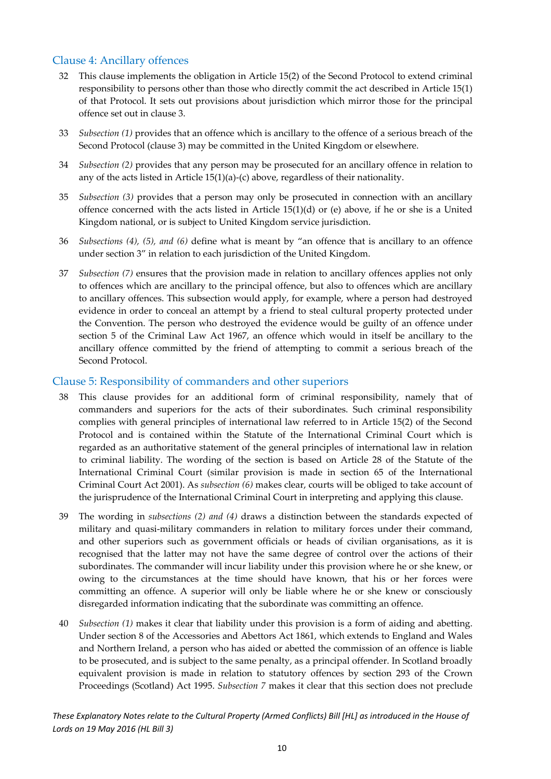#### Clause 4: Ancillary offences

- 32 This clause implements the obligation in Article 15(2) of the Second Protocol to extend criminal responsibility to persons other than those who directly commit the act described in Article 15(1) of that Protocol. It sets out provisions about jurisdiction which mirror those for the principal offence set out in clause 3.
- 33 *Subsection (1)* provides that an offence which is ancillary to the offence of a serious breach of the Second Protocol (clause 3) may be committed in the United Kingdom or elsewhere.
- 34 *Subsection (2)* provides that any person may be prosecuted for an ancillary offence in relation to any of the acts listed in Article 15(1)(a)‐(c) above, regardless of their nationality.
- 35 *Subsection (3)* provides that a person may only be prosecuted in connection with an ancillary offence concerned with the acts listed in Article 15(1)(d) or (e) above, if he or she is a United Kingdom national, or is subject to United Kingdom service jurisdiction.
- 36 *Subsections (4), (5), and (6)* define what is meant by "an offence that is ancillary to an offence under section 3" in relation to each jurisdiction of the United Kingdom.
- 37 *Subsection (7)* ensures that the provision made in relation to ancillary offences applies not only to offences which are ancillary to the principal offence, but also to offences which are ancillary to ancillary offences. This subsection would apply, for example, where a person had destroyed evidence in order to conceal an attempt by a friend to steal cultural property protected under the Convention. The person who destroyed the evidence would be guilty of an offence under section 5 of the Criminal Law Act 1967, an offence which would in itself be ancillary to the ancillary offence committed by the friend of attempting to commit a serious breach of the Second Protocol.

#### Clause 5: Responsibility of commanders and other superiors

- 38 This clause provides for an additional form of criminal responsibility, namely that of commanders and superiors for the acts of their subordinates. Such criminal responsibility complies with general principles of international law referred to in Article 15(2) of the Second Protocol and is contained within the Statute of the International Criminal Court which is regarded as an authoritative statement of the general principles of international law in relation to criminal liability. The wording of the section is based on Article 28 of the Statute of the International Criminal Court (similar provision is made in section 65 of the International Criminal Court Act 2001). As *subsection (6)* makes clear, courts will be obliged to take account of the jurisprudence of the International Criminal Court in interpreting and applying this clause.
- 39 The wording in *subsections (2) and (4)* draws a distinction between the standards expected of military and quasi-military commanders in relation to military forces under their command, and other superiors such as government officials or heads of civilian organisations, as it is recognised that the latter may not have the same degree of control over the actions of their subordinates. The commander will incur liability under this provision where he or she knew, or owing to the circumstances at the time should have known, that his or her forces were committing an offence. A superior will only be liable where he or she knew or consciously disregarded information indicating that the subordinate was committing an offence.
- 40 *Subsection (1)* makes it clear that liability under this provision is a form of aiding and abetting. Under section 8 of the Accessories and Abettors Act 1861, which extends to England and Wales and Northern Ireland, a person who has aided or abetted the commission of an offence is liable to be prosecuted, and is subject to the same penalty, as a principal offender. In Scotland broadly equivalent provision is made in relation to statutory offences by section 293 of the Crown Proceedings (Scotland) Act 1995. *Subsection 7* makes it clear that this section does not preclude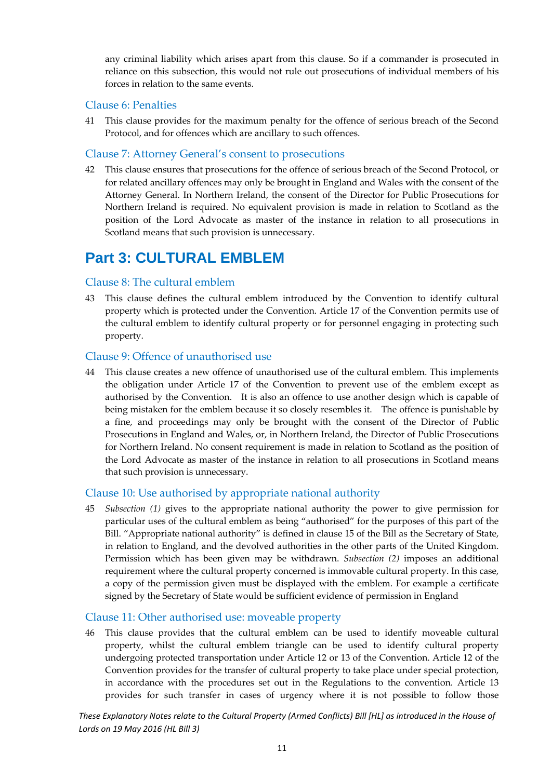any criminal liability which arises apart from this clause. So if a commander is prosecuted in reliance on this subsection, this would not rule out prosecutions of individual members of his forces in relation to the same events.

#### Clause 6: Penalties

41 This clause provides for the maximum penalty for the offence of serious breach of the Second Protocol, and for offences which are ancillary to such offences.

#### Clause 7: Attorney General's consent to prosecutions

42 This clause ensures that prosecutions for the offence of serious breach of the Second Protocol, or for related ancillary offences may only be brought in England and Wales with the consent of the Attorney General. In Northern Ireland, the consent of the Director for Public Prosecutions for Northern Ireland is required. No equivalent provision is made in relation to Scotland as the position of the Lord Advocate as master of the instance in relation to all prosecutions in Scotland means that such provision is unnecessary.

### **Part 3: CULTURAL EMBLEM**

#### Clause 8: The cultural emblem

43 This clause defines the cultural emblem introduced by the Convention to identify cultural property which is protected under the Convention. Article 17 of the Convention permits use of the cultural emblem to identify cultural property or for personnel engaging in protecting such property.

#### Clause 9: Offence of unauthorised use

44 This clause creates a new offence of unauthorised use of the cultural emblem. This implements the obligation under Article 17 of the Convention to prevent use of the emblem except as authorised by the Convention. It is also an offence to use another design which is capable of being mistaken for the emblem because it so closely resembles it. The offence is punishable by a fine, and proceedings may only be brought with the consent of the Director of Public Prosecutions in England and Wales, or, in Northern Ireland, the Director of Public Prosecutions for Northern Ireland. No consent requirement is made in relation to Scotland as the position of the Lord Advocate as master of the instance in relation to all prosecutions in Scotland means that such provision is unnecessary.

#### Clause 10: Use authorised by appropriate national authority

45 *Subsection (1)* gives to the appropriate national authority the power to give permission for particular uses of the cultural emblem as being "authorised" for the purposes of this part of the Bill. "Appropriate national authority" is defined in clause 15 of the Bill as the Secretary of State, in relation to England, and the devolved authorities in the other parts of the United Kingdom. Permission which has been given may be withdrawn. *Subsection (2)* imposes an additional requirement where the cultural property concerned is immovable cultural property. In this case, a copy of the permission given must be displayed with the emblem. For example a certificate signed by the Secretary of State would be sufficient evidence of permission in England

#### Clause 11: Other authorised use: moveable property

46 This clause provides that the cultural emblem can be used to identify moveable cultural property, whilst the cultural emblem triangle can be used to identify cultural property undergoing protected transportation under Article 12 or 13 of the Convention. Article 12 of the Convention provides for the transfer of cultural property to take place under special protection, in accordance with the procedures set out in the Regulations to the convention. Article 13 provides for such transfer in cases of urgency where it is not possible to follow those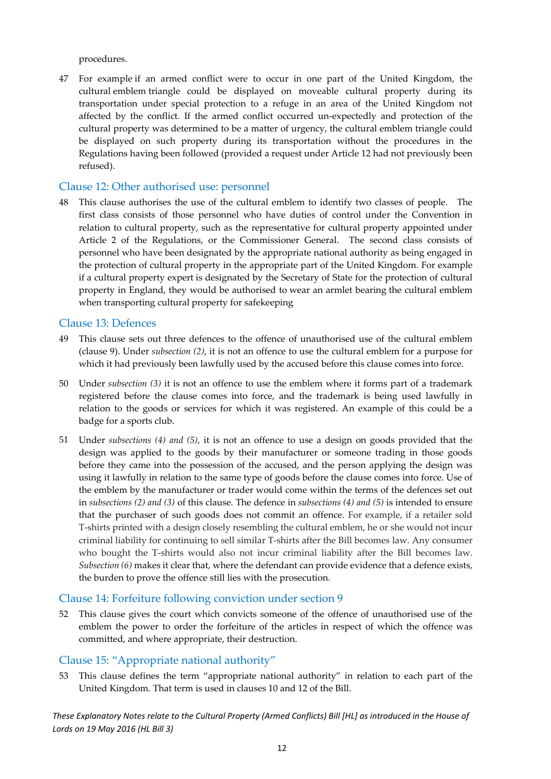procedures.

47 For example if an armed conflict were to occur in one part of the United Kingdom, the cultural emblem triangle could be displayed on moveable cultural property during its transportation under special protection to a refuge in an area of the United Kingdom not affected by the conflict. If the armed conflict occurred un‐expectedly and protection of the cultural property was determined to be a matter of urgency, the cultural emblem triangle could be displayed on such property during its transportation without the procedures in the Regulations having been followed (provided a request under Article 12 had not previously been refused).

#### Clause 12: Other authorised use: personnel

48 This clause authorises the use of the cultural emblem to identify two classes of people. The first class consists of those personnel who have duties of control under the Convention in relation to cultural property, such as the representative for cultural property appointed under Article 2 of the Regulations, or the Commissioner General. The second class consists of personnel who have been designated by the appropriate national authority as being engaged in the protection of cultural property in the appropriate part of the United Kingdom. For example if a cultural property expert is designated by the Secretary of State for the protection of cultural property in England, they would be authorised to wear an armlet bearing the cultural emblem when transporting cultural property for safekeeping

#### Clause 13: Defences

- 49 This clause sets out three defences to the offence of unauthorised use of the cultural emblem (clause 9). Under *subsection (2)*, it is not an offence to use the cultural emblem for a purpose for which it had previously been lawfully used by the accused before this clause comes into force.
- 50 Under *subsection (3)* it is not an offence to use the emblem where it forms part of a trademark registered before the clause comes into force, and the trademark is being used lawfully in relation to the goods or services for which it was registered. An example of this could be a badge for a sports club.
- 51 Under *subsections (4) and (5)*, it is not an offence to use a design on goods provided that the design was applied to the goods by their manufacturer or someone trading in those goods before they came into the possession of the accused, and the person applying the design was using it lawfully in relation to the same type of goods before the clause comes into force. Use of the emblem by the manufacturer or trader would come within the terms of the defences set out in *subsections (2) and (3)* of this clause. The defence in *subsections (4) and (5)* is intended to ensure that the purchaser of such goods does not commit an offence. For example, if a retailer sold T‐shirts printed with a design closely resembling the cultural emblem, he or she would not incur criminal liability for continuing to sell similar T‐shirts after the Bill becomes law. Any consumer who bought the T‐shirts would also not incur criminal liability after the Bill becomes law. *Subsection (6)* makes it clear that, where the defendant can provide evidence that a defence exists, the burden to prove the offence still lies with the prosecution.

#### Clause 14: Forfeiture following conviction under section 9

52 This clause gives the court which convicts someone of the offence of unauthorised use of the emblem the power to order the forfeiture of the articles in respect of which the offence was committed, and where appropriate, their destruction.

#### Clause 15: "Appropriate national authority"

53 This clause defines the term "appropriate national authority" in relation to each part of the United Kingdom. That term is used in clauses 10 and 12 of the Bill.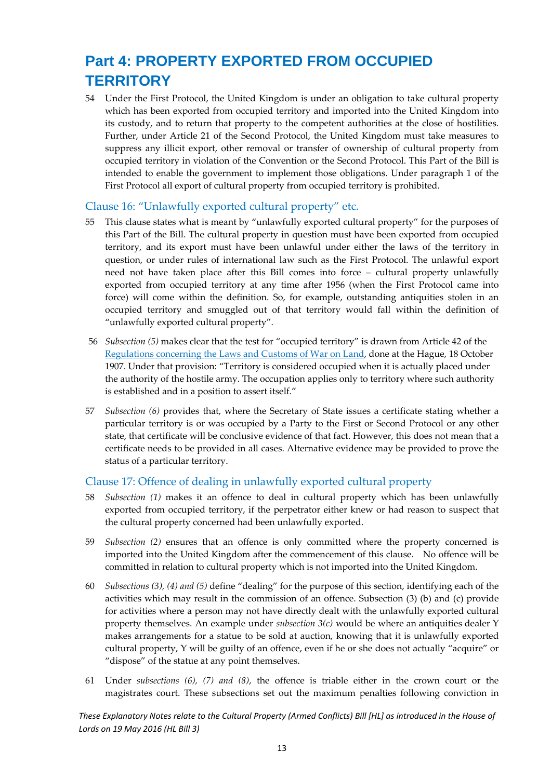### **Part 4: PROPERTY EXPORTED FROM OCCUPIED TERRITORY**

54 Under the First Protocol, the United Kingdom is under an obligation to take cultural property which has been exported from occupied territory and imported into the United Kingdom into its custody, and to return that property to the competent authorities at the close of hostilities. Further, under Article 21 of the Second Protocol, the United Kingdom must take measures to suppress any illicit export, other removal or transfer of ownership of cultural property from occupied territory in violation of the Convention or the Second Protocol. This Part of the Bill is intended to enable the government to implement those obligations. Under paragraph 1 of the First Protocol all export of cultural property from occupied territory is prohibited.

#### Clause 16: "Unlawfully exported cultural property" etc.

- 55 This clause states what is meant by "unlawfully exported cultural property" for the purposes of this Part of the Bill. The cultural property in question must have been exported from occupied territory, and its export must have been unlawful under either the laws of the territory in question, or under rules of international law such as the First Protocol. The unlawful export need not have taken place after this Bill comes into force – cultural property unlawfully exported from occupied territory at any time after 1956 (when the First Protocol came into force) will come within the definition. So, for example, outstanding antiquities stolen in an occupied territory and smuggled out of that territory would fall within the definition of "unlawfully exported cultural property".
- 56 *Subsection (5)* makes clear that the test for "occupied territory" is drawn from Article 42 of the Regulations concerning the Laws and Customs of War on Land, done at the Hague, 18 October 1907. Under that provision: "Territory is considered occupied when it is actually placed under the authority of the hostile army. The occupation applies only to territory where such authority is established and in a position to assert itself."
- 57 *Subsection (6)* provides that, where the Secretary of State issues a certificate stating whether a particular territory is or was occupied by a Party to the First or Second Protocol or any other state, that certificate will be conclusive evidence of that fact. However, this does not mean that a certificate needs to be provided in all cases. Alternative evidence may be provided to prove the status of a particular territory.

#### Clause 17: Offence of dealing in unlawfully exported cultural property

- 58 *Subsection (1)* makes it an offence to deal in cultural property which has been unlawfully exported from occupied territory, if the perpetrator either knew or had reason to suspect that the cultural property concerned had been unlawfully exported.
- 59 *Subsection (2)* ensures that an offence is only committed where the property concerned is imported into the United Kingdom after the commencement of this clause. No offence will be committed in relation to cultural property which is not imported into the United Kingdom.
- 60 *Subsections (3), (4) and (5)* define "dealing" for the purpose of this section, identifying each of the activities which may result in the commission of an offence. Subsection (3) (b) and (c) provide for activities where a person may not have directly dealt with the unlawfully exported cultural property themselves. An example under *subsection 3(c)* would be where an antiquities dealer Y makes arrangements for a statue to be sold at auction, knowing that it is unlawfully exported cultural property, Y will be guilty of an offence, even if he or she does not actually "acquire" or "dispose" of the statue at any point themselves.
- 61 Under *subsections (6), (7) and (8)*, the offence is triable either in the crown court or the magistrates court. These subsections set out the maximum penalties following conviction in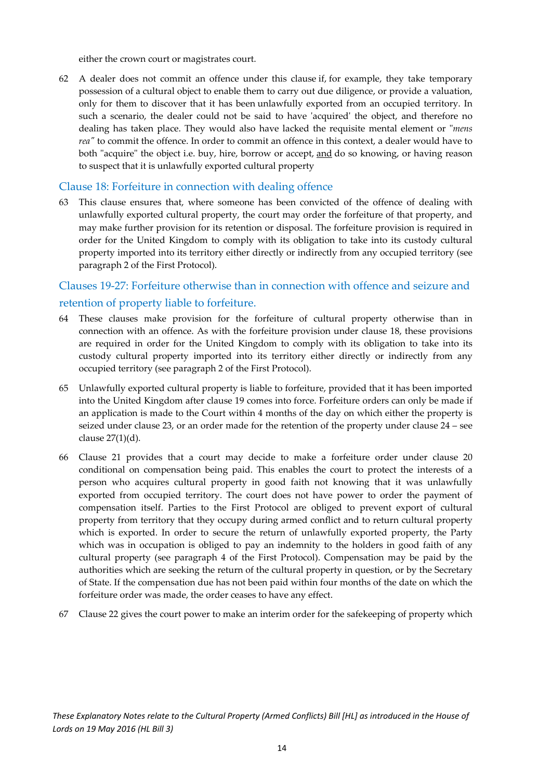either the crown court or magistrates court.

62 A dealer does not commit an offence under this clause if, for example, they take temporary possession of a cultural object to enable them to carry out due diligence, or provide a valuation, only for them to discover that it has been unlawfully exported from an occupied territory. In such a scenario, the dealer could not be said to have 'acquired' the object, and therefore no dealing has taken place. They would also have lacked the requisite mental element or "*mens reaʺ* to commit the offence. In order to commit an offence in this context, a dealer would have to both "acquire" the object i.e. buy, hire, borrow or accept, and do so knowing, or having reason to suspect that it is unlawfully exported cultural property

#### Clause 18: Forfeiture in connection with dealing offence

63 This clause ensures that, where someone has been convicted of the offence of dealing with unlawfully exported cultural property, the court may order the forfeiture of that property, and may make further provision for its retention or disposal. The forfeiture provision is required in order for the United Kingdom to comply with its obligation to take into its custody cultural property imported into its territory either directly or indirectly from any occupied territory (see paragraph 2 of the First Protocol).

#### Clauses 19‐27: Forfeiture otherwise than in connection with offence and seizure and retention of property liable to forfeiture.

- 64 These clauses make provision for the forfeiture of cultural property otherwise than in connection with an offence. As with the forfeiture provision under clause 18, these provisions are required in order for the United Kingdom to comply with its obligation to take into its custody cultural property imported into its territory either directly or indirectly from any occupied territory (see paragraph 2 of the First Protocol).
- 65 Unlawfully exported cultural property is liable to forfeiture, provided that it has been imported into the United Kingdom after clause 19 comes into force. Forfeiture orders can only be made if an application is made to the Court within 4 months of the day on which either the property is seized under clause 23, or an order made for the retention of the property under clause 24 – see clause 27(1)(d).
- 66 Clause 21 provides that a court may decide to make a forfeiture order under clause 20 conditional on compensation being paid. This enables the court to protect the interests of a person who acquires cultural property in good faith not knowing that it was unlawfully exported from occupied territory. The court does not have power to order the payment of compensation itself. Parties to the First Protocol are obliged to prevent export of cultural property from territory that they occupy during armed conflict and to return cultural property which is exported. In order to secure the return of unlawfully exported property, the Party which was in occupation is obliged to pay an indemnity to the holders in good faith of any cultural property (see paragraph 4 of the First Protocol). Compensation may be paid by the authorities which are seeking the return of the cultural property in question, or by the Secretary of State. If the compensation due has not been paid within four months of the date on which the forfeiture order was made, the order ceases to have any effect.
- 67 Clause 22 gives the court power to make an interim order for the safekeeping of property which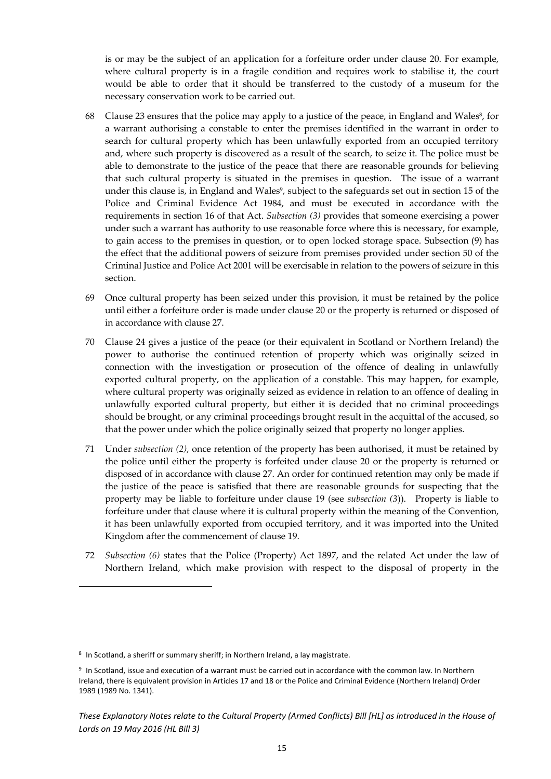is or may be the subject of an application for a forfeiture order under clause 20. For example, where cultural property is in a fragile condition and requires work to stabilise it, the court would be able to order that it should be transferred to the custody of a museum for the necessary conservation work to be carried out.

- 68 Clause 23 ensures that the police may apply to a justice of the peace, in England and Wales<sup>8</sup>, for a warrant authorising a constable to enter the premises identified in the warrant in order to search for cultural property which has been unlawfully exported from an occupied territory and, where such property is discovered as a result of the search, to seize it. The police must be able to demonstrate to the justice of the peace that there are reasonable grounds for believing that such cultural property is situated in the premises in question. The issue of a warrant under this clause is, in England and Wales<sup>9</sup>, subject to the safeguards set out in section 15 of the Police and Criminal Evidence Act 1984, and must be executed in accordance with the requirements in section 16 of that Act. *Subsection (3)* provides that someone exercising a power under such a warrant has authority to use reasonable force where this is necessary, for example, to gain access to the premises in question, or to open locked storage space. Subsection (9) has the effect that the additional powers of seizure from premises provided under section 50 of the Criminal Justice and Police Act 2001 will be exercisable in relation to the powers of seizure in this section.
- 69 Once cultural property has been seized under this provision, it must be retained by the police until either a forfeiture order is made under clause 20 or the property is returned or disposed of in accordance with clause 27.
- 70 Clause 24 gives a justice of the peace (or their equivalent in Scotland or Northern Ireland) the power to authorise the continued retention of property which was originally seized in connection with the investigation or prosecution of the offence of dealing in unlawfully exported cultural property, on the application of a constable. This may happen, for example, where cultural property was originally seized as evidence in relation to an offence of dealing in unlawfully exported cultural property, but either it is decided that no criminal proceedings should be brought, or any criminal proceedings brought result in the acquittal of the accused, so that the power under which the police originally seized that property no longer applies.
- 71 Under *subsection (2)*, once retention of the property has been authorised, it must be retained by the police until either the property is forfeited under clause 20 or the property is returned or disposed of in accordance with clause 27. An order for continued retention may only be made if the justice of the peace is satisfied that there are reasonable grounds for suspecting that the property may be liable to forfeiture under clause 19 (see *subsection (3*)). Property is liable to forfeiture under that clause where it is cultural property within the meaning of the Convention, it has been unlawfully exported from occupied territory, and it was imported into the United Kingdom after the commencement of clause 19.
- 72 *Subsection (6)* states that the Police (Property) Act 1897, and the related Act under the law of Northern Ireland, which make provision with respect to the disposal of property in the

<sup>8</sup> In Scotland, a sheriff or summary sheriff; in Northern Ireland, a lay magistrate.

<sup>9</sup> In Scotland, issue and execution of a warrant must be carried out in accordance with the common law. In Northern Ireland, there is equivalent provision in Articles 17 and 18 or the Police and Criminal Evidence (Northern Ireland) Order 1989 (1989 No. 1341).

These Explanatory Notes relate to the Cultural Property (Armed Conflicts) Bill [HL] as introduced in the House of *Lords on 19 May 2016 (HL Bill 3)*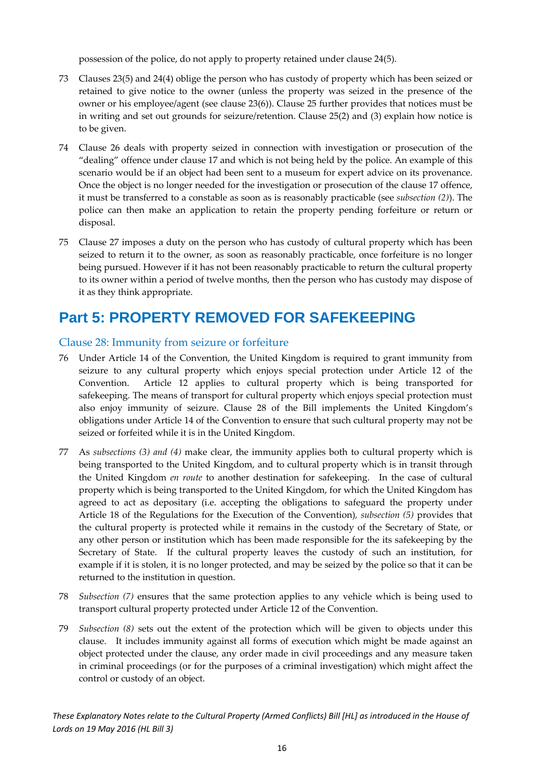possession of the police, do not apply to property retained under clause 24(5).

- 73 Clauses 23(5) and 24(4) oblige the person who has custody of property which has been seized or retained to give notice to the owner (unless the property was seized in the presence of the owner or his employee/agent (see clause 23(6)). Clause 25 further provides that notices must be in writing and set out grounds for seizure/retention. Clause 25(2) and (3) explain how notice is to be given.
- 74 Clause 26 deals with property seized in connection with investigation or prosecution of the "dealing" offence under clause 17 and which is not being held by the police. An example of this scenario would be if an object had been sent to a museum for expert advice on its provenance. Once the object is no longer needed for the investigation or prosecution of the clause 17 offence, it must be transferred to a constable as soon as is reasonably practicable (see *subsection (2)*). The police can then make an application to retain the property pending forfeiture or return or disposal.
- 75 Clause 27 imposes a duty on the person who has custody of cultural property which has been seized to return it to the owner, as soon as reasonably practicable, once forfeiture is no longer being pursued. However if it has not been reasonably practicable to return the cultural property to its owner within a period of twelve months, then the person who has custody may dispose of it as they think appropriate.

### **Part 5: PROPERTY REMOVED FOR SAFEKEEPING**

#### Clause 28: Immunity from seizure or forfeiture

- 76 Under Article 14 of the Convention, the United Kingdom is required to grant immunity from seizure to any cultural property which enjoys special protection under Article 12 of the Convention. Article 12 applies to cultural property which is being transported for safekeeping. The means of transport for cultural property which enjoys special protection must also enjoy immunity of seizure. Clause 28 of the Bill implements the United Kingdom's obligations under Article 14 of the Convention to ensure that such cultural property may not be seized or forfeited while it is in the United Kingdom.
- 77 As *subsections (3) and (4)* make clear, the immunity applies both to cultural property which is being transported to the United Kingdom, and to cultural property which is in transit through the United Kingdom *en route* to another destination for safekeeping. In the case of cultural property which is being transported to the United Kingdom, for which the United Kingdom has agreed to act as depositary (i.e. accepting the obligations to safeguard the property under Article 18 of the Regulations for the Execution of the Convention)*, subsection (5)* provides that the cultural property is protected while it remains in the custody of the Secretary of State, or any other person or institution which has been made responsible for the its safekeeping by the Secretary of State. If the cultural property leaves the custody of such an institution, for example if it is stolen, it is no longer protected, and may be seized by the police so that it can be returned to the institution in question.
- 78 *Subsection (7)* ensures that the same protection applies to any vehicle which is being used to transport cultural property protected under Article 12 of the Convention.
- 79 *Subsection (8)* sets out the extent of the protection which will be given to objects under this clause. It includes immunity against all forms of execution which might be made against an object protected under the clause, any order made in civil proceedings and any measure taken in criminal proceedings (or for the purposes of a criminal investigation) which might affect the control or custody of an object.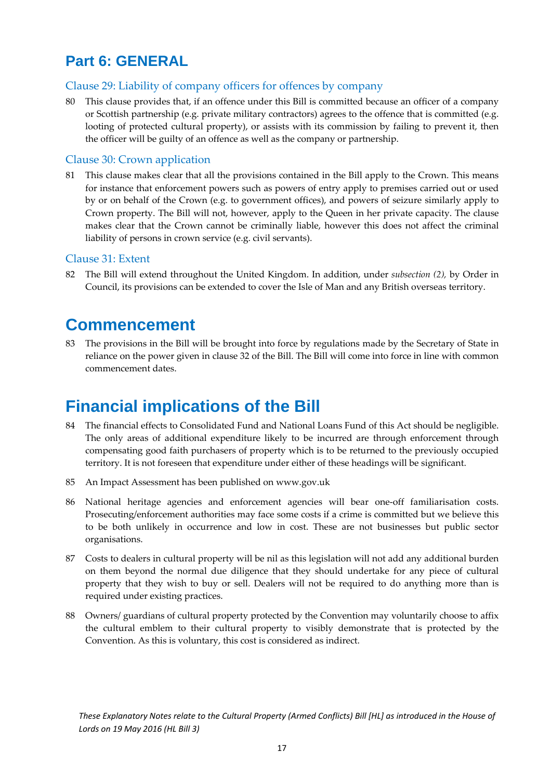### **Part 6: GENERAL**

#### Clause 29: Liability of company officers for offences by company

80 This clause provides that, if an offence under this Bill is committed because an officer of a company or Scottish partnership (e.g. private military contractors) agrees to the offence that is committed (e.g. looting of protected cultural property), or assists with its commission by failing to prevent it, then the officer will be guilty of an offence as well as the company or partnership.

#### Clause 30: Crown application

81 This clause makes clear that all the provisions contained in the Bill apply to the Crown. This means for instance that enforcement powers such as powers of entry apply to premises carried out or used by or on behalf of the Crown (e.g. to government offices), and powers of seizure similarly apply to Crown property. The Bill will not, however, apply to the Queen in her private capacity. The clause makes clear that the Crown cannot be criminally liable, however this does not affect the criminal liability of persons in crown service (e.g. civil servants).

#### Clause 31: Extent

82 The Bill will extend throughout the United Kingdom. In addition, under *subsection (2),* by Order in Council, its provisions can be extended to cover the Isle of Man and any British overseas territory.

### **Commencement**

83 The provisions in the Bill will be brought into force by regulations made by the Secretary of State in reliance on the power given in clause 32 of the Bill. The Bill will come into force in line with common commencement dates.

### **Financial implications of the Bill**

- 84 The financial effects to Consolidated Fund and National Loans Fund of this Act should be negligible. The only areas of additional expenditure likely to be incurred are through enforcement through compensating good faith purchasers of property which is to be returned to the previously occupied territory. It is not foreseen that expenditure under either of these headings will be significant.
- 85 An Impact Assessment has been published on www.gov.uk
- 86 National heritage agencies and enforcement agencies will bear one-off familiarisation costs. Prosecuting/enforcement authorities may face some costs if a crime is committed but we believe this to be both unlikely in occurrence and low in cost. These are not businesses but public sector organisations.
- 87 Costs to dealers in cultural property will be nil as this legislation will not add any additional burden on them beyond the normal due diligence that they should undertake for any piece of cultural property that they wish to buy or sell. Dealers will not be required to do anything more than is required under existing practices.
- 88 Owners/ guardians of cultural property protected by the Convention may voluntarily choose to affix the cultural emblem to their cultural property to visibly demonstrate that is protected by the Convention. As this is voluntary, this cost is considered as indirect.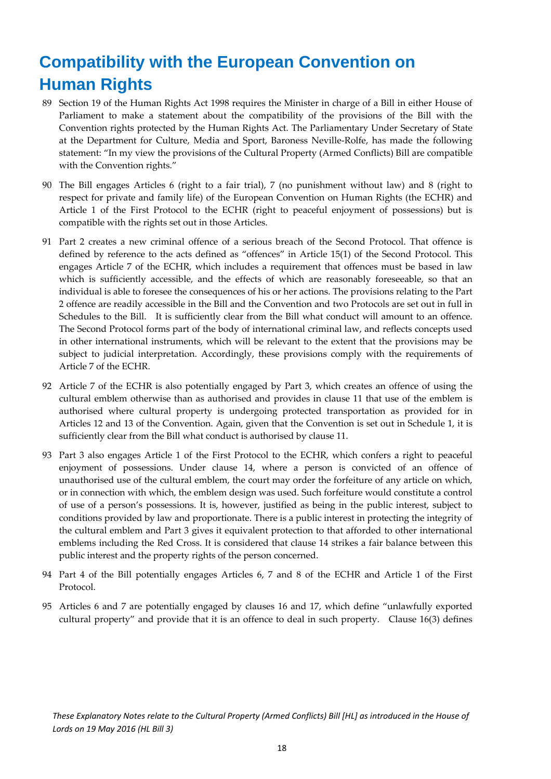## **Compatibility with the European Convention on Human Rights**

- 89 Section 19 of the Human Rights Act 1998 requires the Minister in charge of a Bill in either House of Parliament to make a statement about the compatibility of the provisions of the Bill with the Convention rights protected by the Human Rights Act. The Parliamentary Under Secretary of State at the Department for Culture, Media and Sport, Baroness Neville‐Rolfe, has made the following statement: "In my view the provisions of the Cultural Property (Armed Conflicts) Bill are compatible with the Convention rights."
- 90 The Bill engages Articles 6 (right to a fair trial), 7 (no punishment without law) and 8 (right to respect for private and family life) of the European Convention on Human Rights (the ECHR) and Article 1 of the First Protocol to the ECHR (right to peaceful enjoyment of possessions) but is compatible with the rights set out in those Articles.
- 91 Part 2 creates a new criminal offence of a serious breach of the Second Protocol. That offence is defined by reference to the acts defined as "offences" in Article 15(1) of the Second Protocol. This engages Article 7 of the ECHR, which includes a requirement that offences must be based in law which is sufficiently accessible, and the effects of which are reasonably foreseeable, so that an individual is able to foresee the consequences of his or her actions. The provisions relating to the Part 2 offence are readily accessible in the Bill and the Convention and two Protocols are set out in full in Schedules to the Bill. It is sufficiently clear from the Bill what conduct will amount to an offence. The Second Protocol forms part of the body of international criminal law, and reflects concepts used in other international instruments, which will be relevant to the extent that the provisions may be subject to judicial interpretation. Accordingly, these provisions comply with the requirements of Article 7 of the ECHR.
- 92 Article 7 of the ECHR is also potentially engaged by Part 3, which creates an offence of using the cultural emblem otherwise than as authorised and provides in clause 11 that use of the emblem is authorised where cultural property is undergoing protected transportation as provided for in Articles 12 and 13 of the Convention. Again, given that the Convention is set out in Schedule 1, it is sufficiently clear from the Bill what conduct is authorised by clause 11.
- 93 Part 3 also engages Article 1 of the First Protocol to the ECHR, which confers a right to peaceful enjoyment of possessions. Under clause 14, where a person is convicted of an offence of unauthorised use of the cultural emblem, the court may order the forfeiture of any article on which, or in connection with which, the emblem design was used. Such forfeiture would constitute a control of use of a person's possessions. It is, however, justified as being in the public interest, subject to conditions provided by law and proportionate. There is a public interest in protecting the integrity of the cultural emblem and Part 3 gives it equivalent protection to that afforded to other international emblems including the Red Cross. It is considered that clause 14 strikes a fair balance between this public interest and the property rights of the person concerned.
- 94 Part 4 of the Bill potentially engages Articles 6, 7 and 8 of the ECHR and Article 1 of the First Protocol.
- 95 Articles 6 and 7 are potentially engaged by clauses 16 and 17, which define "unlawfully exported cultural property" and provide that it is an offence to deal in such property. Clause 16(3) defines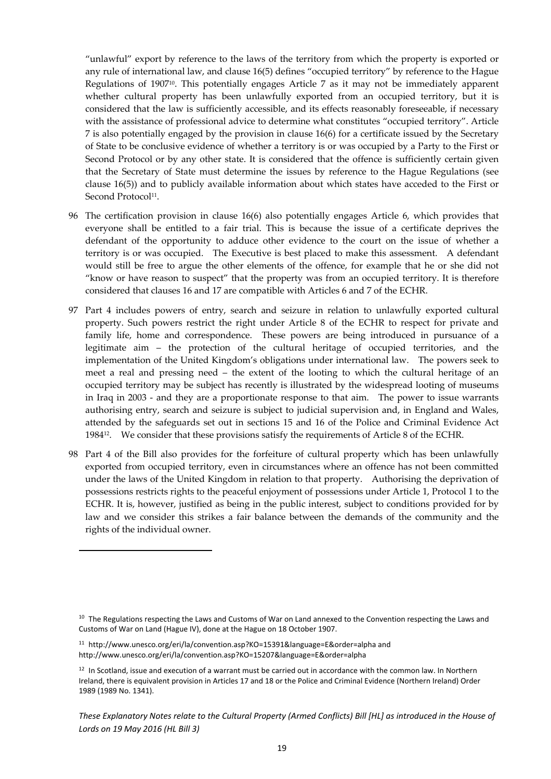"unlawful" export by reference to the laws of the territory from which the property is exported or any rule of international law, and clause 16(5) defines "occupied territory" by reference to the Hague Regulations of 190710. This potentially engages Article 7 as it may not be immediately apparent whether cultural property has been unlawfully exported from an occupied territory, but it is considered that the law is sufficiently accessible, and its effects reasonably foreseeable, if necessary with the assistance of professional advice to determine what constitutes "occupied territory". Article 7 is also potentially engaged by the provision in clause 16(6) for a certificate issued by the Secretary of State to be conclusive evidence of whether a territory is or was occupied by a Party to the First or Second Protocol or by any other state. It is considered that the offence is sufficiently certain given that the Secretary of State must determine the issues by reference to the Hague Regulations (see clause 16(5)) and to publicly available information about which states have acceded to the First or Second Protocol<sup>11</sup>.

- 96 The certification provision in clause 16(6) also potentially engages Article 6, which provides that everyone shall be entitled to a fair trial. This is because the issue of a certificate deprives the defendant of the opportunity to adduce other evidence to the court on the issue of whether a territory is or was occupied. The Executive is best placed to make this assessment. A defendant would still be free to argue the other elements of the offence, for example that he or she did not "know or have reason to suspect" that the property was from an occupied territory. It is therefore considered that clauses 16 and 17 are compatible with Articles 6 and 7 of the ECHR.
- 97 Part 4 includes powers of entry, search and seizure in relation to unlawfully exported cultural property. Such powers restrict the right under Article 8 of the ECHR to respect for private and family life, home and correspondence. These powers are being introduced in pursuance of a legitimate aim – the protection of the cultural heritage of occupied territories, and the implementation of the United Kingdom's obligations under international law. The powers seek to meet a real and pressing need – the extent of the looting to which the cultural heritage of an occupied territory may be subject has recently is illustrated by the widespread looting of museums in Iraq in 2003 - and they are a proportionate response to that aim. The power to issue warrants authorising entry, search and seizure is subject to judicial supervision and, in England and Wales, attended by the safeguards set out in sections 15 and 16 of the Police and Criminal Evidence Act 198412. We consider that these provisions satisfy the requirements of Article 8 of the ECHR.
- 98 Part 4 of the Bill also provides for the forfeiture of cultural property which has been unlawfully exported from occupied territory, even in circumstances where an offence has not been committed under the laws of the United Kingdom in relation to that property. Authorising the deprivation of possessions restricts rights to the peaceful enjoyment of possessions under Article 1, Protocol 1 to the ECHR. It is, however, justified as being in the public interest, subject to conditions provided for by law and we consider this strikes a fair balance between the demands of the community and the rights of the individual owner.

<sup>&</sup>lt;sup>10</sup> The Regulations respecting the Laws and Customs of War on Land annexed to the Convention respecting the Laws and Customs of War on Land (Hague IV), done at the Hague on 18 October 1907.

<sup>11</sup> http://www.unesco.org/eri/la/convention.asp?KO=15391&language=E&order=alpha and http://www.unesco.org/eri/la/convention.asp?KO=15207&language=E&order=alpha

 $12$  In Scotland, issue and execution of a warrant must be carried out in accordance with the common law. In Northern Ireland, there is equivalent provision in Articles 17 and 18 or the Police and Criminal Evidence (Northern Ireland) Order 1989 (1989 No. 1341).

These Explanatory Notes relate to the Cultural Property (Armed Conflicts) Bill [HL] as introduced in the House of *Lords on 19 May 2016 (HL Bill 3)*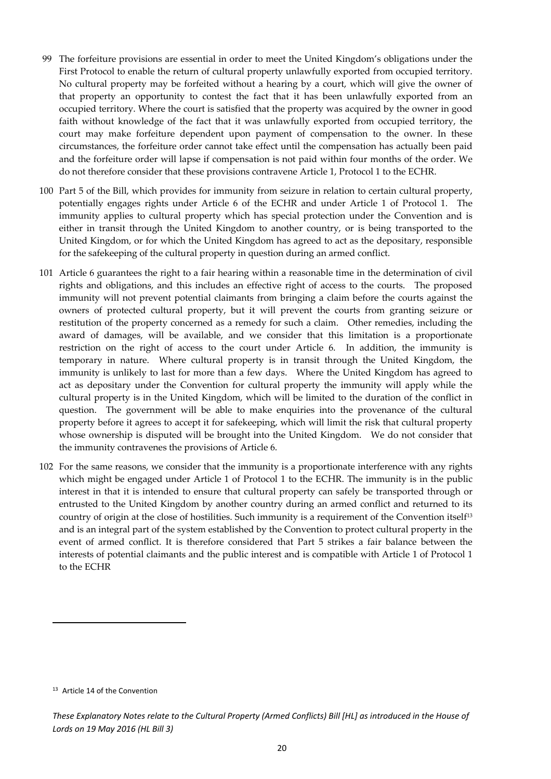- 99 The forfeiture provisions are essential in order to meet the United Kingdom's obligations under the First Protocol to enable the return of cultural property unlawfully exported from occupied territory. No cultural property may be forfeited without a hearing by a court, which will give the owner of that property an opportunity to contest the fact that it has been unlawfully exported from an occupied territory. Where the court is satisfied that the property was acquired by the owner in good faith without knowledge of the fact that it was unlawfully exported from occupied territory, the court may make forfeiture dependent upon payment of compensation to the owner. In these circumstances, the forfeiture order cannot take effect until the compensation has actually been paid and the forfeiture order will lapse if compensation is not paid within four months of the order. We do not therefore consider that these provisions contravene Article 1, Protocol 1 to the ECHR.
- 100 Part 5 of the Bill, which provides for immunity from seizure in relation to certain cultural property, potentially engages rights under Article 6 of the ECHR and under Article 1 of Protocol 1. The immunity applies to cultural property which has special protection under the Convention and is either in transit through the United Kingdom to another country, or is being transported to the United Kingdom, or for which the United Kingdom has agreed to act as the depositary, responsible for the safekeeping of the cultural property in question during an armed conflict.
- 101 Article 6 guarantees the right to a fair hearing within a reasonable time in the determination of civil rights and obligations, and this includes an effective right of access to the courts. The proposed immunity will not prevent potential claimants from bringing a claim before the courts against the owners of protected cultural property, but it will prevent the courts from granting seizure or restitution of the property concerned as a remedy for such a claim. Other remedies, including the award of damages, will be available, and we consider that this limitation is a proportionate restriction on the right of access to the court under Article 6. In addition, the immunity is temporary in nature. Where cultural property is in transit through the United Kingdom, the immunity is unlikely to last for more than a few days. Where the United Kingdom has agreed to act as depositary under the Convention for cultural property the immunity will apply while the cultural property is in the United Kingdom, which will be limited to the duration of the conflict in question. The government will be able to make enquiries into the provenance of the cultural property before it agrees to accept it for safekeeping, which will limit the risk that cultural property whose ownership is disputed will be brought into the United Kingdom. We do not consider that the immunity contravenes the provisions of Article 6.
- 102 For the same reasons, we consider that the immunity is a proportionate interference with any rights which might be engaged under Article 1 of Protocol 1 to the ECHR. The immunity is in the public interest in that it is intended to ensure that cultural property can safely be transported through or entrusted to the United Kingdom by another country during an armed conflict and returned to its country of origin at the close of hostilities. Such immunity is a requirement of the Convention itself<sup>13</sup> and is an integral part of the system established by the Convention to protect cultural property in the event of armed conflict. It is therefore considered that Part 5 strikes a fair balance between the interests of potential claimants and the public interest and is compatible with Article 1 of Protocol 1 to the ECHR

<sup>&</sup>lt;sup>13</sup> Article 14 of the Convention

These Explanatory Notes relate to the Cultural Property (Armed Conflicts) Bill [HL] as introduced in the House of *Lords on 19 May 2016 (HL Bill 3)*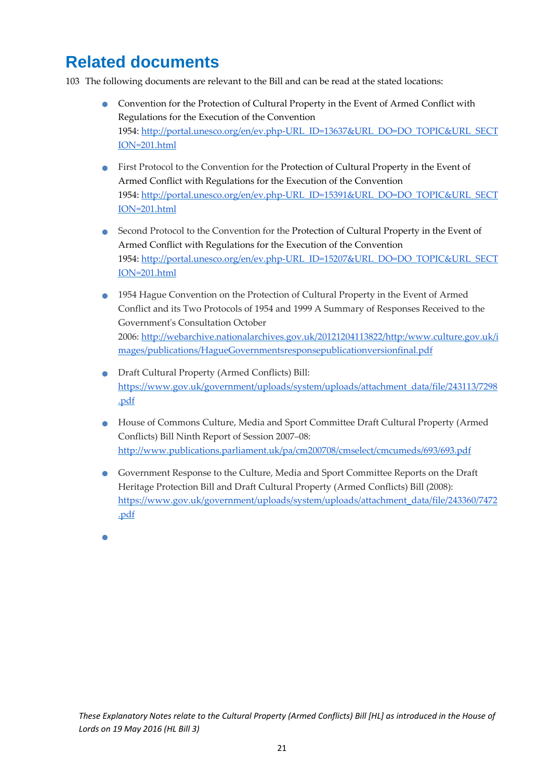### **Related documents**

103 The following documents are relevant to the Bill and can be read at the stated locations:

- Convention for the Protection of Cultural Property in the Event of Armed Conflict with Regulations for the Execution of the Convention 1954: http://portal.unesco.org/en/ev.php‐URL\_ID=13637&URL\_DO=DO\_TOPIC&URL\_SECT ION=201.html
- First Protocol to the Convention for the Protection of Cultural Property in the Event of Armed Conflict with Regulations for the Execution of the Convention 1954: http://portal.unesco.org/en/ev.php‐URL\_ID=15391&URL\_DO=DO\_TOPIC&URL\_SECT ION=201.html
- Second Protocol to the Convention for the Protection of Cultural Property in the Event of Armed Conflict with Regulations for the Execution of the Convention 1954: http://portal.unesco.org/en/ev.php‐URL\_ID=15207&URL\_DO=DO\_TOPIC&URL\_SECT ION=201.html
- 1954 Hague Convention on the Protection of Cultural Property in the Event of Armed Conflict and its Two Protocols of 1954 and 1999 A Summary of Responses Received to the Governmentʹs Consultation October 2006: http://webarchive.nationalarchives.gov.uk/20121204113822/http:/www.culture.gov.uk/i mages/publications/HagueGovernmentsresponsepublicationversionfinal.pdf
- Draft Cultural Property (Armed Conflicts) Bill: https://www.gov.uk/government/uploads/system/uploads/attachment\_data/file/243113/7298 .pdf
- House of Commons Culture, Media and Sport Committee Draft Cultural Property (Armed Conflicts) Bill Ninth Report of Session 2007–08: http://www.publications.parliament.uk/pa/cm200708/cmselect/cmcumeds/693/693.pdf
- Government Response to the Culture, Media and Sport Committee Reports on the Draft Heritage Protection Bill and Draft Cultural Property (Armed Conflicts) Bill (2008): https://www.gov.uk/government/uploads/system/uploads/attachment\_data/file/243360/7472 .pdf
- $\bullet$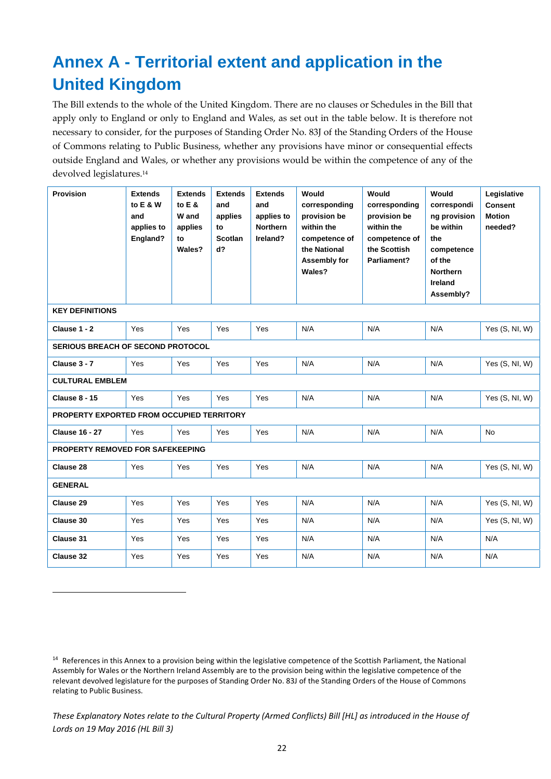## **Annex A - Territorial extent and application in the United Kingdom**

The Bill extends to the whole of the United Kingdom. There are no clauses or Schedules in the Bill that apply only to England or only to England and Wales, as set out in the table below. It is therefore not necessary to consider, for the purposes of Standing Order No. 83J of the Standing Orders of the House of Commons relating to Public Business, whether any provisions have minor or consequential effects outside England and Wales, or whether any provisions would be within the competence of any of the devolved legislatures.14

| <b>Provision</b>                          | <b>Extends</b><br>to E & W<br>and<br>applies to<br>England? | <b>Extends</b><br>to $E$ &<br>W and<br>applies<br>to<br>Wales? | <b>Extends</b><br>and<br>applies<br>to<br><b>Scotlan</b><br>$d$ ? | <b>Extends</b><br>and<br>applies to<br><b>Northern</b><br>Ireland? | Would<br>corresponding<br>provision be<br>within the<br>competence of<br>the National<br>Assembly for<br>Wales? | Would<br>corresponding<br>provision be<br>within the<br>competence of<br>the Scottish<br>Parliament? | Would<br>correspondi<br>ng provision<br>be within<br>the<br>competence<br>of the<br><b>Northern</b><br><b>Ireland</b><br>Assembly? | Legislative<br><b>Consent</b><br><b>Motion</b><br>needed? |  |  |
|-------------------------------------------|-------------------------------------------------------------|----------------------------------------------------------------|-------------------------------------------------------------------|--------------------------------------------------------------------|-----------------------------------------------------------------------------------------------------------------|------------------------------------------------------------------------------------------------------|------------------------------------------------------------------------------------------------------------------------------------|-----------------------------------------------------------|--|--|
| <b>KEY DEFINITIONS</b>                    |                                                             |                                                                |                                                                   |                                                                    |                                                                                                                 |                                                                                                      |                                                                                                                                    |                                                           |  |  |
| Clause 1 - 2                              | Yes                                                         | Yes                                                            | Yes                                                               | Yes                                                                | N/A                                                                                                             | N/A                                                                                                  | N/A                                                                                                                                | Yes (S, NI, W)                                            |  |  |
| SERIOUS BREACH OF SECOND PROTOCOL         |                                                             |                                                                |                                                                   |                                                                    |                                                                                                                 |                                                                                                      |                                                                                                                                    |                                                           |  |  |
| Clause 3 - 7                              | Yes                                                         | Yes                                                            | Yes                                                               | Yes                                                                | N/A                                                                                                             | N/A                                                                                                  | N/A                                                                                                                                | Yes $(S, NI, W)$                                          |  |  |
| <b>CULTURAL EMBLEM</b>                    |                                                             |                                                                |                                                                   |                                                                    |                                                                                                                 |                                                                                                      |                                                                                                                                    |                                                           |  |  |
| <b>Clause 8 - 15</b>                      | Yes                                                         | Yes                                                            | Yes                                                               | Yes                                                                | N/A                                                                                                             | N/A                                                                                                  | N/A                                                                                                                                | Yes (S, NI, W)                                            |  |  |
| PROPERTY EXPORTED FROM OCCUPIED TERRITORY |                                                             |                                                                |                                                                   |                                                                    |                                                                                                                 |                                                                                                      |                                                                                                                                    |                                                           |  |  |
| <b>Clause 16 - 27</b>                     | Yes                                                         | Yes                                                            | Yes                                                               | Yes                                                                | N/A                                                                                                             | N/A                                                                                                  | N/A                                                                                                                                | <b>No</b>                                                 |  |  |
| PROPERTY REMOVED FOR SAFEKEEPING          |                                                             |                                                                |                                                                   |                                                                    |                                                                                                                 |                                                                                                      |                                                                                                                                    |                                                           |  |  |
| Clause 28                                 | Yes                                                         | Yes                                                            | Yes                                                               | Yes                                                                | N/A                                                                                                             | N/A                                                                                                  | N/A                                                                                                                                | Yes $(S, NI, W)$                                          |  |  |
| <b>GENERAL</b>                            |                                                             |                                                                |                                                                   |                                                                    |                                                                                                                 |                                                                                                      |                                                                                                                                    |                                                           |  |  |
| Clause 29                                 | Yes                                                         | Yes                                                            | Yes                                                               | Yes                                                                | N/A                                                                                                             | N/A                                                                                                  | N/A                                                                                                                                | Yes (S, NI, W)                                            |  |  |
| Clause 30                                 | Yes                                                         | Yes                                                            | Yes                                                               | Yes                                                                | N/A                                                                                                             | N/A                                                                                                  | N/A                                                                                                                                | Yes (S, NI, W)                                            |  |  |
| Clause 31                                 | Yes                                                         | Yes                                                            | Yes                                                               | Yes                                                                | N/A                                                                                                             | N/A                                                                                                  | N/A                                                                                                                                | N/A                                                       |  |  |
| Clause 32                                 | Yes                                                         | Yes                                                            | Yes                                                               | Yes                                                                | N/A                                                                                                             | N/A                                                                                                  | N/A                                                                                                                                | N/A                                                       |  |  |

<sup>&</sup>lt;sup>14</sup> References in this Annex to a provision being within the legislative competence of the Scottish Parliament, the National Assembly for Wales or the Northern Ireland Assembly are to the provision being within the legislative competence of the relevant devolved legislature for the purposes of Standing Order No. 83J of the Standing Orders of the House of Commons relating to Public Business.

These Explanatory Notes relate to the Cultural Property (Armed Conflicts) Bill [HL] as introduced in the House of *Lords on 19 May 2016 (HL Bill 3)*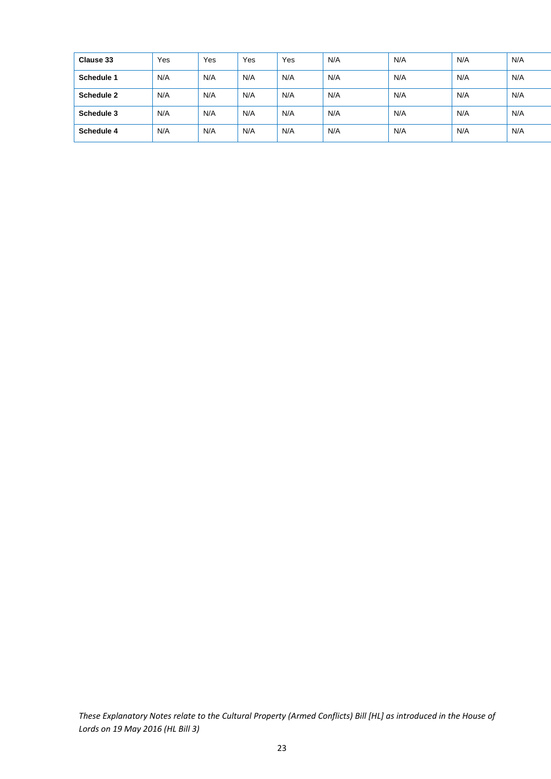| Clause 33  | Yes | Yes | Yes | Yes | N/A | N/A | N/A | N/A |
|------------|-----|-----|-----|-----|-----|-----|-----|-----|
| Schedule 1 | N/A | N/A | N/A | N/A | N/A | N/A | N/A | N/A |
| Schedule 2 | N/A | N/A | N/A | N/A | N/A | N/A | N/A | N/A |
| Schedule 3 | N/A | N/A | N/A | N/A | N/A | N/A | N/A | N/A |
| Schedule 4 | N/A | N/A | N/A | N/A | N/A | N/A | N/A | N/A |